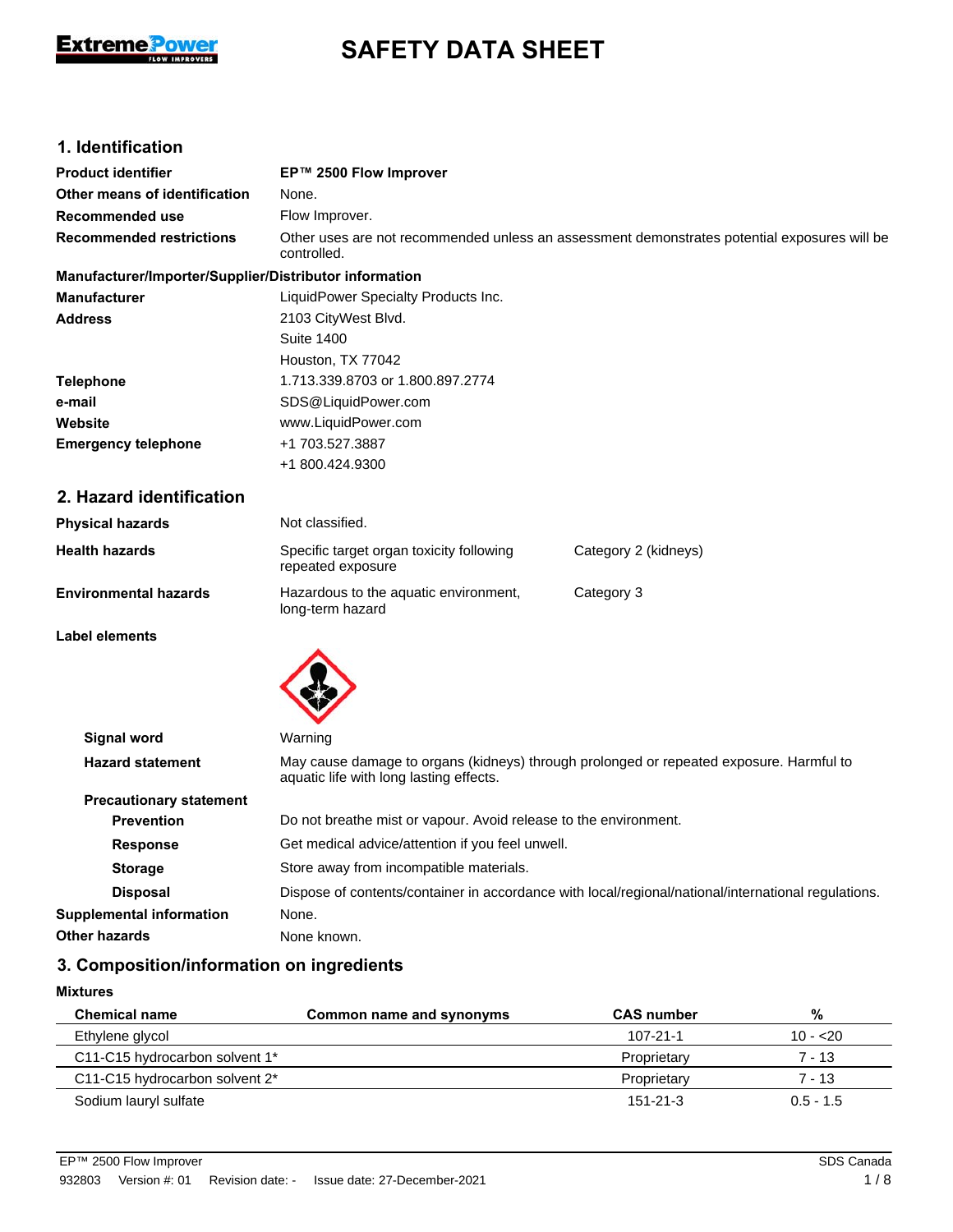

# **SAFETY DATA SHEET**

# **1. Identification**

| <b>Product identifier</b>                              | EP™ 2500 Flow Improver                                                                                                             |                      |  |
|--------------------------------------------------------|------------------------------------------------------------------------------------------------------------------------------------|----------------------|--|
| Other means of identification                          | None.                                                                                                                              |                      |  |
| <b>Recommended use</b>                                 | Flow Improver.                                                                                                                     |                      |  |
| <b>Recommended restrictions</b>                        | Other uses are not recommended unless an assessment demonstrates potential exposures will be<br>controlled.                        |                      |  |
| Manufacturer/Importer/Supplier/Distributor information |                                                                                                                                    |                      |  |
| Manufacturer                                           | LiquidPower Specialty Products Inc.                                                                                                |                      |  |
| Address                                                | 2103 CityWest Blvd.                                                                                                                |                      |  |
|                                                        | <b>Suite 1400</b>                                                                                                                  |                      |  |
|                                                        | Houston, TX 77042                                                                                                                  |                      |  |
| Telephone                                              | 1.713.339.8703 or 1.800.897.2774                                                                                                   |                      |  |
| e-mail                                                 | SDS@LiquidPower.com                                                                                                                |                      |  |
| Website                                                | www.LiquidPower.com                                                                                                                |                      |  |
| <b>Emergency telephone</b>                             | +1 703.527.3887                                                                                                                    |                      |  |
|                                                        | +1 800.424.9300                                                                                                                    |                      |  |
| 2. Hazard identification                               |                                                                                                                                    |                      |  |
| <b>Physical hazards</b>                                | Not classified.                                                                                                                    |                      |  |
| <b>Health hazards</b>                                  | Specific target organ toxicity following<br>repeated exposure                                                                      | Category 2 (kidneys) |  |
| <b>Environmental hazards</b>                           | Hazardous to the aquatic environment,<br>long-term hazard                                                                          | Category 3           |  |
| <b>Label elements</b>                                  |                                                                                                                                    |                      |  |
|                                                        |                                                                                                                                    |                      |  |
| <b>Signal word</b>                                     | Warning                                                                                                                            |                      |  |
| <b>Hazard statement</b>                                | May cause damage to organs (kidneys) through prolonged or repeated exposure. Harmful to<br>aquatic life with long lasting effects. |                      |  |
| <b>Precautionary statement</b>                         |                                                                                                                                    |                      |  |
| <b>Prevention</b>                                      | Do not breathe mist or vapour. Avoid release to the environment.                                                                   |                      |  |
| <b>Response</b>                                        | Get medical advice/attention if you feel unwell.                                                                                   |                      |  |
| <b>Storage</b>                                         | Store away from incompatible materials.                                                                                            |                      |  |
| <b>Disposal</b>                                        | Dispose of contents/container in accordance with local/regional/national/international regulations.                                |                      |  |
| <b>Supplemental information</b>                        | None.                                                                                                                              |                      |  |
| <b>Other hazards</b>                                   | None known.                                                                                                                        |                      |  |
|                                                        |                                                                                                                                    |                      |  |

# **3. Composition/information on ingredients**

**Mixtures**

| <b>Chemical name</b>           | Common name and synonyms | <b>CAS</b> number | %           |
|--------------------------------|--------------------------|-------------------|-------------|
| Ethylene glycol                |                          | 107-21-1          | $10 - 20$   |
| C11-C15 hydrocarbon solvent 1* |                          | Proprietary       | 7 - 13      |
| C11-C15 hydrocarbon solvent 2* |                          | Proprietary       | 7 - 13      |
| Sodium lauryl sulfate          |                          | $151 - 21 - 3$    | $0.5 - 1.5$ |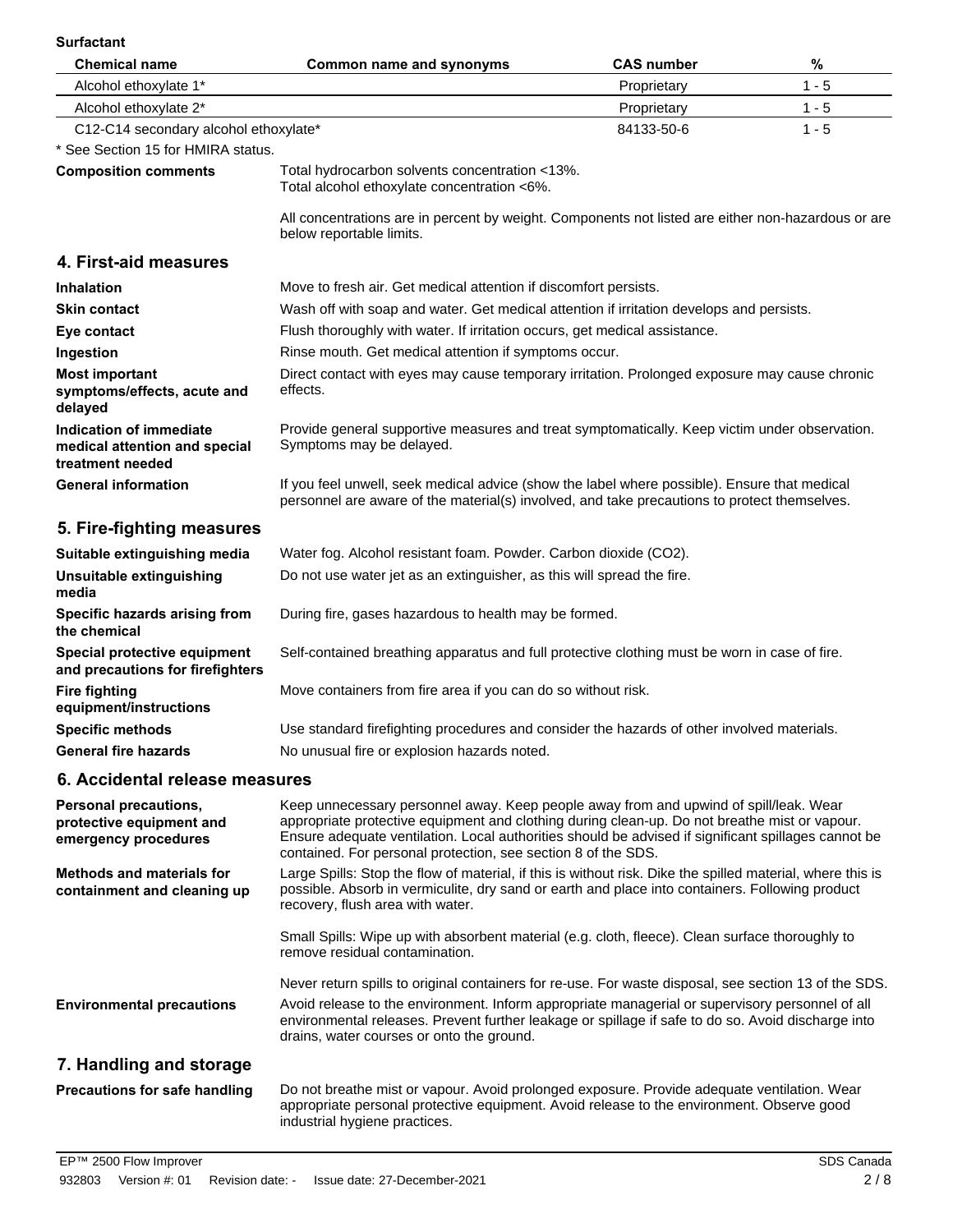| <b>Surfactant</b>                                                                |                                                                                                                                                                                                                                                                                                                                                                |                                                                                               |         |  |
|----------------------------------------------------------------------------------|----------------------------------------------------------------------------------------------------------------------------------------------------------------------------------------------------------------------------------------------------------------------------------------------------------------------------------------------------------------|-----------------------------------------------------------------------------------------------|---------|--|
| <b>Chemical name</b>                                                             | <b>Common name and synonyms</b>                                                                                                                                                                                                                                                                                                                                | <b>CAS number</b>                                                                             | %       |  |
| Alcohol ethoxylate 1*                                                            |                                                                                                                                                                                                                                                                                                                                                                | Proprietary                                                                                   | $1 - 5$ |  |
| Alcohol ethoxylate 2*                                                            |                                                                                                                                                                                                                                                                                                                                                                | Proprietary                                                                                   | $1 - 5$ |  |
| C12-C14 secondary alcohol ethoxylate*                                            |                                                                                                                                                                                                                                                                                                                                                                | 84133-50-6                                                                                    | $1 - 5$ |  |
| * See Section 15 for HMIRA status.                                               |                                                                                                                                                                                                                                                                                                                                                                |                                                                                               |         |  |
| <b>Composition comments</b>                                                      | Total hydrocarbon solvents concentration <13%.<br>Total alcohol ethoxylate concentration <6%.                                                                                                                                                                                                                                                                  |                                                                                               |         |  |
|                                                                                  | All concentrations are in percent by weight. Components not listed are either non-hazardous or are<br>below reportable limits.                                                                                                                                                                                                                                 |                                                                                               |         |  |
| 4. First-aid measures                                                            |                                                                                                                                                                                                                                                                                                                                                                |                                                                                               |         |  |
| <b>Inhalation</b>                                                                | Move to fresh air. Get medical attention if discomfort persists.                                                                                                                                                                                                                                                                                               |                                                                                               |         |  |
| <b>Skin contact</b>                                                              | Wash off with soap and water. Get medical attention if irritation develops and persists.                                                                                                                                                                                                                                                                       |                                                                                               |         |  |
| Eye contact                                                                      | Flush thoroughly with water. If irritation occurs, get medical assistance.                                                                                                                                                                                                                                                                                     |                                                                                               |         |  |
| Ingestion                                                                        | Rinse mouth. Get medical attention if symptoms occur.                                                                                                                                                                                                                                                                                                          |                                                                                               |         |  |
| <b>Most important</b><br>symptoms/effects, acute and<br>delayed                  | effects.                                                                                                                                                                                                                                                                                                                                                       | Direct contact with eyes may cause temporary irritation. Prolonged exposure may cause chronic |         |  |
| Indication of immediate<br>medical attention and special<br>treatment needed     | Provide general supportive measures and treat symptomatically. Keep victim under observation.<br>Symptoms may be delayed.                                                                                                                                                                                                                                      |                                                                                               |         |  |
| <b>General information</b>                                                       | If you feel unwell, seek medical advice (show the label where possible). Ensure that medical<br>personnel are aware of the material(s) involved, and take precautions to protect themselves.                                                                                                                                                                   |                                                                                               |         |  |
| 5. Fire-fighting measures                                                        |                                                                                                                                                                                                                                                                                                                                                                |                                                                                               |         |  |
| Suitable extinguishing media                                                     | Water fog. Alcohol resistant foam. Powder. Carbon dioxide (CO2).                                                                                                                                                                                                                                                                                               |                                                                                               |         |  |
| Unsuitable extinguishing<br>media                                                | Do not use water jet as an extinguisher, as this will spread the fire.                                                                                                                                                                                                                                                                                         |                                                                                               |         |  |
| Specific hazards arising from<br>the chemical                                    | During fire, gases hazardous to health may be formed.                                                                                                                                                                                                                                                                                                          |                                                                                               |         |  |
| Special protective equipment<br>and precautions for firefighters                 | Self-contained breathing apparatus and full protective clothing must be worn in case of fire.                                                                                                                                                                                                                                                                  |                                                                                               |         |  |
| <b>Fire fighting</b><br>equipment/instructions                                   | Move containers from fire area if you can do so without risk.                                                                                                                                                                                                                                                                                                  |                                                                                               |         |  |
| <b>Specific methods</b>                                                          | Use standard firefighting procedures and consider the hazards of other involved materials.                                                                                                                                                                                                                                                                     |                                                                                               |         |  |
| <b>General fire hazards</b>                                                      | No unusual fire or explosion hazards noted.                                                                                                                                                                                                                                                                                                                    |                                                                                               |         |  |
| 6. Accidental release measures                                                   |                                                                                                                                                                                                                                                                                                                                                                |                                                                                               |         |  |
| <b>Personal precautions,</b><br>protective equipment and<br>emergency procedures | Keep unnecessary personnel away. Keep people away from and upwind of spill/leak. Wear<br>appropriate protective equipment and clothing during clean-up. Do not breathe mist or vapour.<br>Ensure adequate ventilation. Local authorities should be advised if significant spillages cannot be<br>contained. For personal protection, see section 8 of the SDS. |                                                                                               |         |  |
| <b>Methods and materials for</b><br>containment and cleaning up                  | Large Spills: Stop the flow of material, if this is without risk. Dike the spilled material, where this is<br>possible. Absorb in vermiculite, dry sand or earth and place into containers. Following product<br>recovery, flush area with water.                                                                                                              |                                                                                               |         |  |
|                                                                                  | Small Spills: Wipe up with absorbent material (e.g. cloth, fleece). Clean surface thoroughly to<br>remove residual contamination.                                                                                                                                                                                                                              |                                                                                               |         |  |
|                                                                                  | Nove return epille to original containers for reluse. For waste disposal, see section 12 of the SDS                                                                                                                                                                                                                                                            |                                                                                               |         |  |

**Environmental precautions**

Never return spills to original containers for re-use. For waste disposal, see section 13 of the SDS. Avoid release to the environment. Inform appropriate managerial or supervisory personnel of all environmental releases. Prevent further leakage or spillage if safe to do so. Avoid discharge into drains, water courses or onto the ground.

# **7. Handling and storage**

Do not breathe mist or vapour. Avoid prolonged exposure. Provide adequate ventilation. Wear appropriate personal protective equipment. Avoid release to the environment. Observe good industrial hygiene practices. **Precautions for safe handling**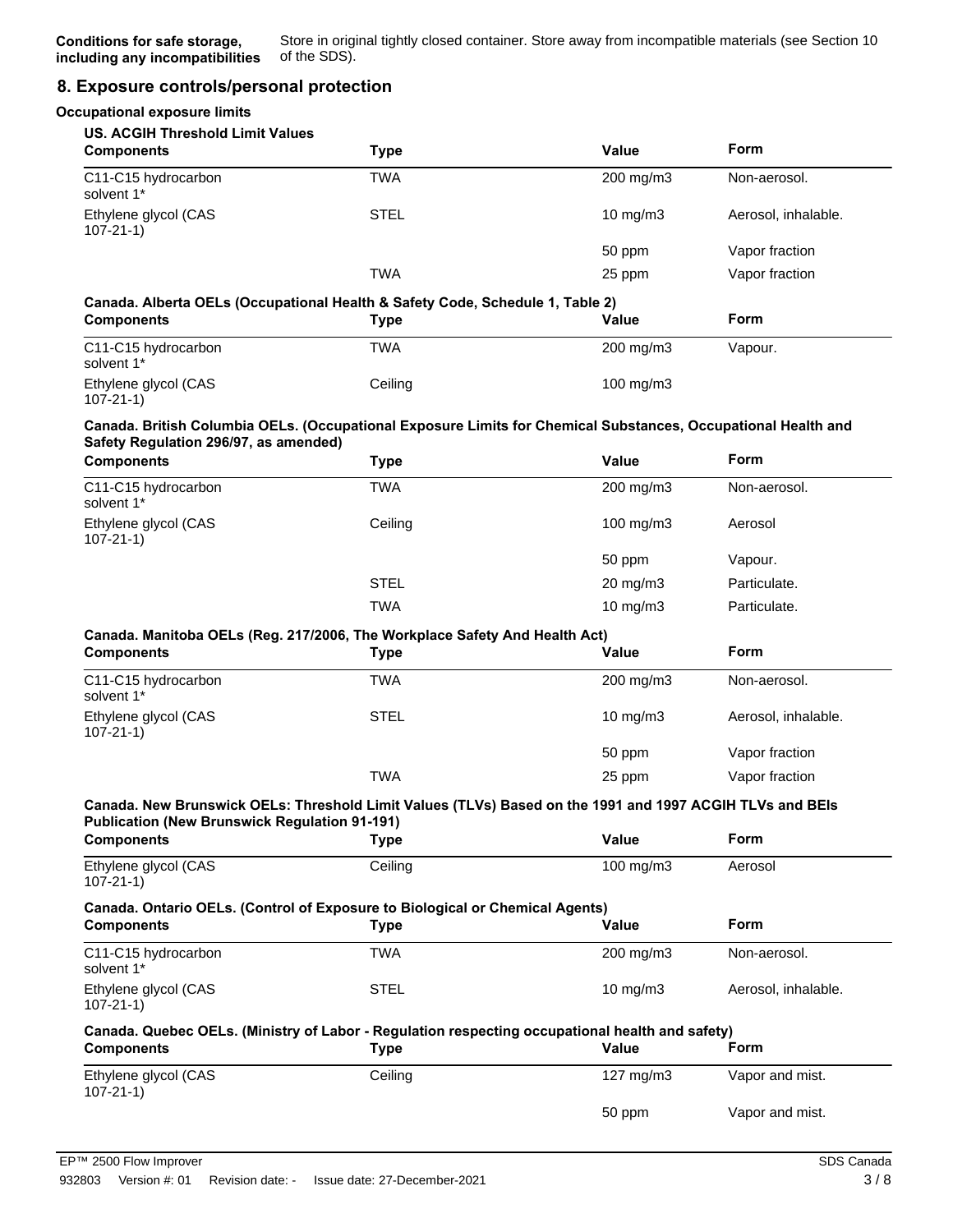## **8. Exposure controls/personal protection**

| <b>Occupational exposure limits</b>                          |                                                                                                                |              |                     |
|--------------------------------------------------------------|----------------------------------------------------------------------------------------------------------------|--------------|---------------------|
| <b>US. ACGIH Threshold Limit Values</b><br><b>Components</b> |                                                                                                                | <b>Value</b> | <b>Form</b>         |
|                                                              | <b>Type</b>                                                                                                    |              |                     |
| C11-C15 hydrocarbon<br>solvent 1*                            | <b>TWA</b>                                                                                                     | 200 mg/m3    | Non-aerosol.        |
| Ethylene glycol (CAS<br>$107 - 21 - 1$                       | <b>STEL</b>                                                                                                    | 10 mg/m3     | Aerosol, inhalable. |
|                                                              |                                                                                                                | 50 ppm       | Vapor fraction      |
|                                                              | <b>TWA</b>                                                                                                     | 25 ppm       | Vapor fraction      |
| <b>Components</b>                                            | Canada. Alberta OELs (Occupational Health & Safety Code, Schedule 1, Table 2)<br><b>Type</b>                   | <b>Value</b> | Form                |
| C11-C15 hydrocarbon<br>solvent 1*                            | <b>TWA</b>                                                                                                     | 200 mg/m3    | Vapour.             |
| Ethylene glycol (CAS<br>$107 - 21 - 1$                       | Ceiling                                                                                                        | 100 mg/m3    |                     |
| Safety Regulation 296/97, as amended)                        | Canada. British Columbia OELs. (Occupational Exposure Limits for Chemical Substances, Occupational Health and  |              |                     |
| <b>Components</b>                                            | <b>Type</b>                                                                                                    | Value        | <b>Form</b>         |
| C11-C15 hydrocarbon<br>solvent 1*                            | <b>TWA</b>                                                                                                     | 200 mg/m3    | Non-aerosol.        |
| Ethylene glycol (CAS<br>$107 - 21 - 1$                       | Ceiling                                                                                                        | 100 mg/m3    | Aerosol             |
|                                                              |                                                                                                                | 50 ppm       | Vapour.             |
|                                                              | <b>STEL</b>                                                                                                    | 20 mg/m3     | Particulate.        |
|                                                              | <b>TWA</b>                                                                                                     | 10 mg/m3     | Particulate.        |
|                                                              | Canada. Manitoba OELs (Reg. 217/2006, The Workplace Safety And Health Act)                                     |              |                     |
| <b>Components</b>                                            | <b>Type</b>                                                                                                    | Value        | Form                |
| C11-C15 hydrocarbon<br>solvent 1*                            | <b>TWA</b>                                                                                                     | 200 mg/m3    | Non-aerosol.        |
| Ethylene glycol (CAS<br>$107 - 21 - 1$                       | <b>STEL</b>                                                                                                    | 10 mg/m3     | Aerosol, inhalable. |
|                                                              |                                                                                                                | 50 ppm       | Vapor fraction      |
|                                                              | <b>TWA</b>                                                                                                     | 25 ppm       | Vapor fraction      |
| <b>Publication (New Brunswick Regulation 91-191)</b>         | Canada. New Brunswick OELs: Threshold Limit Values (TLVs) Based on the 1991 and 1997 ACGIH TLVs and BEIs       |              |                     |
| <b>Components</b>                                            | <b>Type</b>                                                                                                    | Value        | Form                |
| Ethylene glycol (CAS<br>$107 - 21 - 1$                       | Ceiling                                                                                                        | 100 mg/m3    | Aerosol             |
|                                                              | Canada. Ontario OELs. (Control of Exposure to Biological or Chemical Agents)                                   |              |                     |
| <b>Components</b>                                            | <b>Type</b>                                                                                                    | Value        | Form                |
| C11-C15 hydrocarbon<br>solvent 1*                            | <b>TWA</b>                                                                                                     | 200 mg/m3    | Non-aerosol.        |
| Ethylene glycol (CAS<br>$107 - 21 - 1$                       | <b>STEL</b>                                                                                                    | 10 mg/m3     | Aerosol, inhalable. |
| <b>Components</b>                                            | Canada. Quebec OELs. (Ministry of Labor - Regulation respecting occupational health and safety)<br><b>Type</b> | Value        | Form                |
| Ethylene glycol (CAS<br>$107 - 21 - 1$                       | Ceiling                                                                                                        | 127 mg/m $3$ | Vapor and mist.     |
|                                                              |                                                                                                                | 50 ppm       | Vapor and mist.     |
|                                                              |                                                                                                                |              |                     |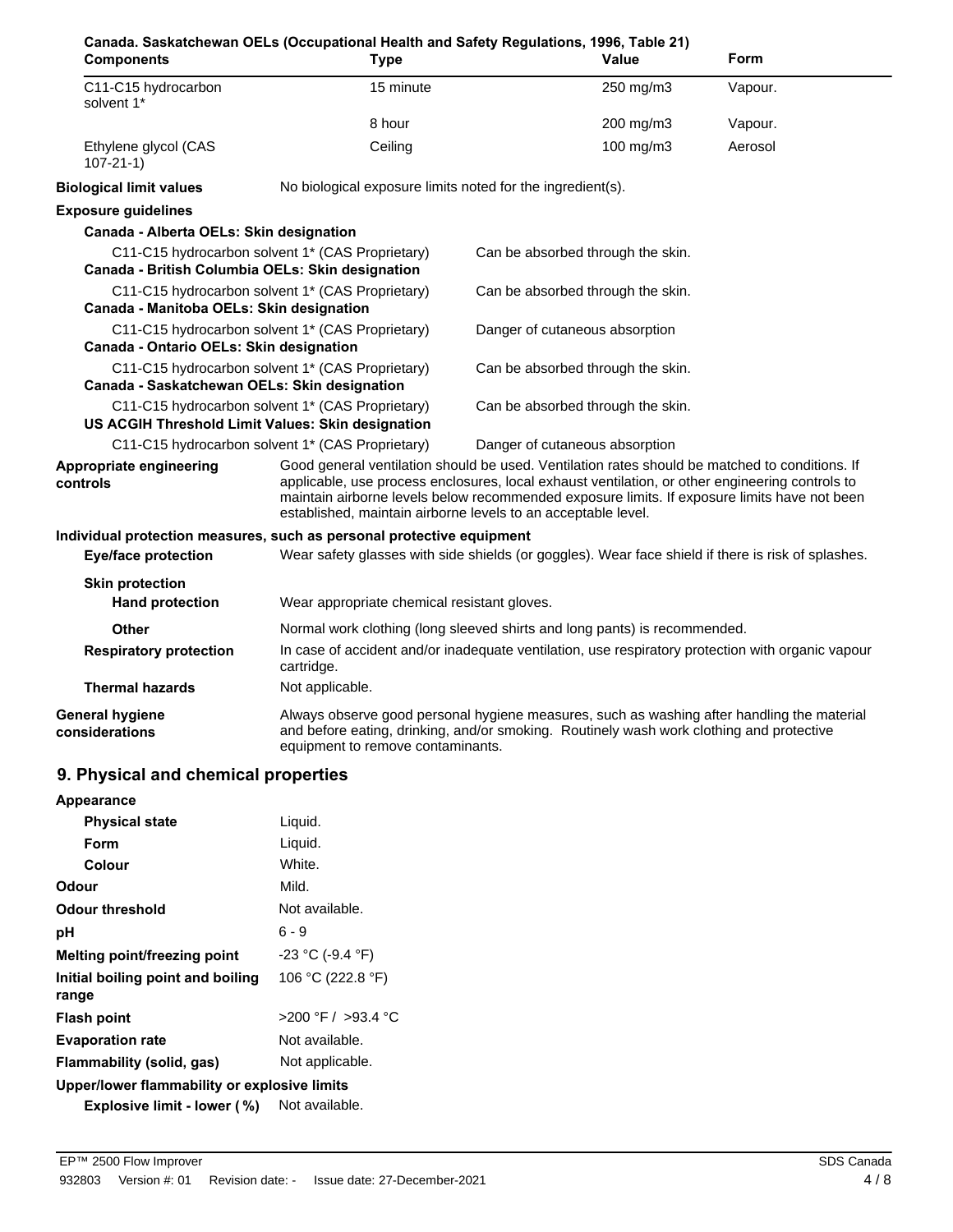| Canada. Saskatchewan OELs (Occupational Health and Safety Regulations, 1996, Table 21)<br><b>Components</b> | <b>Type</b>                                                                                                                                                                                                                                                                                                                                                        |                                   | Value     | Form    |
|-------------------------------------------------------------------------------------------------------------|--------------------------------------------------------------------------------------------------------------------------------------------------------------------------------------------------------------------------------------------------------------------------------------------------------------------------------------------------------------------|-----------------------------------|-----------|---------|
| C11-C15 hydrocarbon<br>solvent 1*                                                                           | 15 minute                                                                                                                                                                                                                                                                                                                                                          |                                   | 250 mg/m3 | Vapour. |
|                                                                                                             | 8 hour                                                                                                                                                                                                                                                                                                                                                             |                                   | 200 mg/m3 | Vapour. |
| Ethylene glycol (CAS<br>$107 - 21 - 1$                                                                      | Ceiling                                                                                                                                                                                                                                                                                                                                                            |                                   | 100 mg/m3 | Aerosol |
| <b>Biological limit values</b>                                                                              | No biological exposure limits noted for the ingredient(s).                                                                                                                                                                                                                                                                                                         |                                   |           |         |
| <b>Exposure guidelines</b>                                                                                  |                                                                                                                                                                                                                                                                                                                                                                    |                                   |           |         |
| Canada - Alberta OELs: Skin designation                                                                     |                                                                                                                                                                                                                                                                                                                                                                    |                                   |           |         |
| C11-C15 hydrocarbon solvent 1* (CAS Proprietary)<br>Canada - British Columbia OELs: Skin designation        |                                                                                                                                                                                                                                                                                                                                                                    | Can be absorbed through the skin. |           |         |
| C11-C15 hydrocarbon solvent 1* (CAS Proprietary)<br>Canada - Manitoba OELs: Skin designation                |                                                                                                                                                                                                                                                                                                                                                                    | Can be absorbed through the skin. |           |         |
| C11-C15 hydrocarbon solvent 1* (CAS Proprietary)<br>Canada - Ontario OELs: Skin designation                 |                                                                                                                                                                                                                                                                                                                                                                    | Danger of cutaneous absorption    |           |         |
| C11-C15 hydrocarbon solvent 1* (CAS Proprietary)<br>Canada - Saskatchewan OELs: Skin designation            |                                                                                                                                                                                                                                                                                                                                                                    | Can be absorbed through the skin. |           |         |
| C11-C15 hydrocarbon solvent 1* (CAS Proprietary)<br>US ACGIH Threshold Limit Values: Skin designation       |                                                                                                                                                                                                                                                                                                                                                                    | Can be absorbed through the skin. |           |         |
| C11-C15 hydrocarbon solvent 1* (CAS Proprietary)                                                            |                                                                                                                                                                                                                                                                                                                                                                    | Danger of cutaneous absorption    |           |         |
| Appropriate engineering<br>controls                                                                         | Good general ventilation should be used. Ventilation rates should be matched to conditions. If<br>applicable, use process enclosures, local exhaust ventilation, or other engineering controls to<br>maintain airborne levels below recommended exposure limits. If exposure limits have not been<br>established, maintain airborne levels to an acceptable level. |                                   |           |         |
| Individual protection measures, such as personal protective equipment                                       |                                                                                                                                                                                                                                                                                                                                                                    |                                   |           |         |
| <b>Eye/face protection</b>                                                                                  | Wear safety glasses with side shields (or goggles). Wear face shield if there is risk of splashes.                                                                                                                                                                                                                                                                 |                                   |           |         |
| <b>Skin protection</b><br><b>Hand protection</b>                                                            | Wear appropriate chemical resistant gloves.                                                                                                                                                                                                                                                                                                                        |                                   |           |         |
| Other                                                                                                       |                                                                                                                                                                                                                                                                                                                                                                    |                                   |           |         |
| <b>Respiratory protection</b>                                                                               | Normal work clothing (long sleeved shirts and long pants) is recommended.<br>In case of accident and/or inadequate ventilation, use respiratory protection with organic vapour<br>cartridge.                                                                                                                                                                       |                                   |           |         |
| <b>Thermal hazards</b>                                                                                      | Not applicable.                                                                                                                                                                                                                                                                                                                                                    |                                   |           |         |
| <b>General hygiene</b><br>considerations                                                                    | Always observe good personal hygiene measures, such as washing after handling the material<br>and before eating, drinking, and/or smoking. Routinely wash work clothing and protective<br>equipment to remove contaminants.                                                                                                                                        |                                   |           |         |
| 9. Physical and chemical properties                                                                         |                                                                                                                                                                                                                                                                                                                                                                    |                                   |           |         |
| Appearance                                                                                                  |                                                                                                                                                                                                                                                                                                                                                                    |                                   |           |         |
| <b>Physical state</b>                                                                                       | Liquid.                                                                                                                                                                                                                                                                                                                                                            |                                   |           |         |
| Form                                                                                                        | Liquid.                                                                                                                                                                                                                                                                                                                                                            |                                   |           |         |

| Colour                                       | White.                 |
|----------------------------------------------|------------------------|
| Odour                                        | Mild.                  |
| Odour threshold                              | Not available.         |
| рH                                           | $6 - 9$                |
| Melting point/freezing point                 | $-23$ °C (-9.4 °F)     |
| Initial boiling point and boiling<br>range   | 106 °C (222.8 °F)      |
| Flash point                                  | $>200$ °F / $>93.4$ °C |
| <b>Evaporation rate</b>                      | Not available.         |
| Flammability (solid, gas)                    | Not applicable.        |
| Upper/lower flammability or explosive limits |                        |
| Explosive limit - lower (%)                  | Not available.         |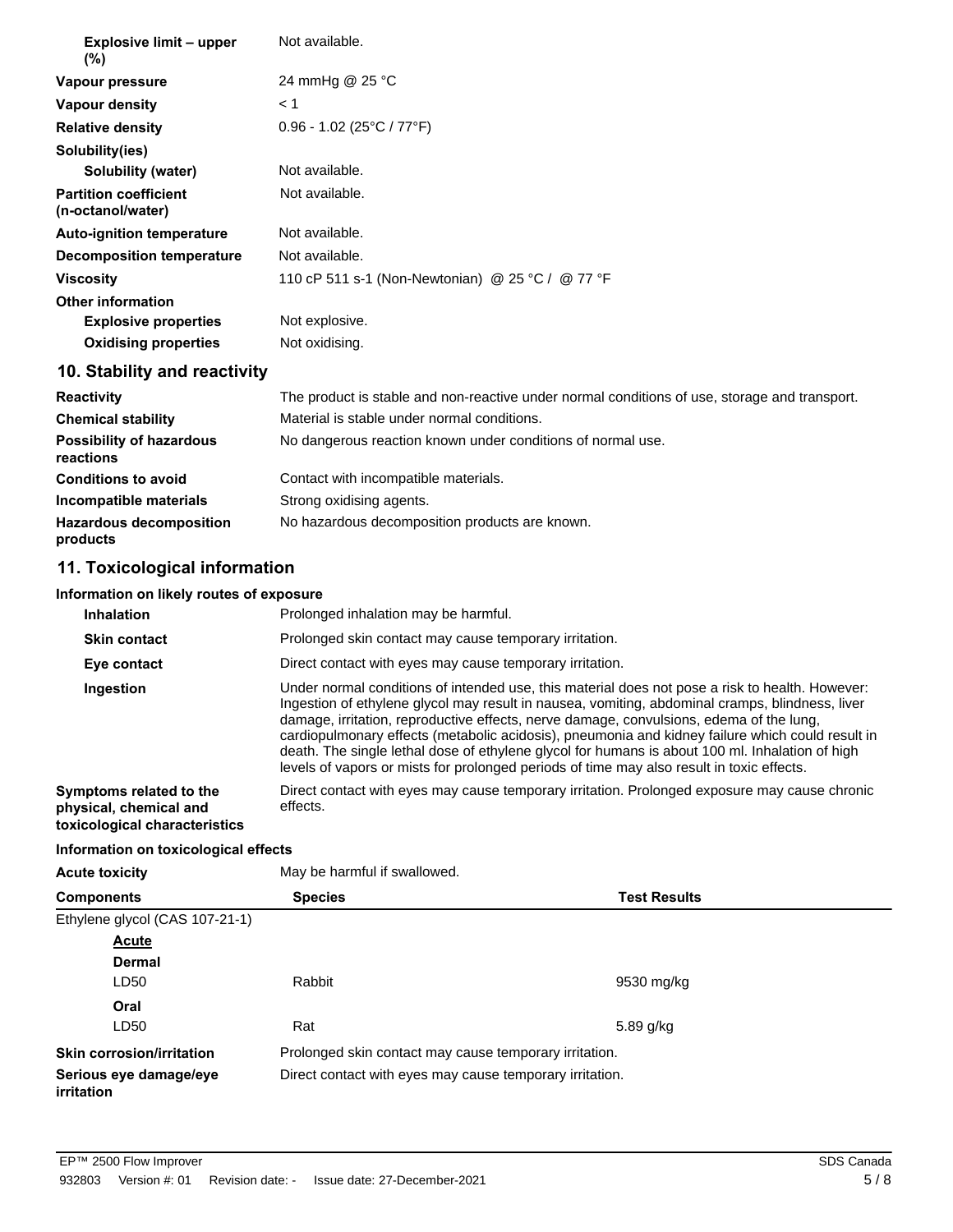| Explosive limit – upper<br>(%)                    | Not available.                                   |
|---------------------------------------------------|--------------------------------------------------|
| Vapour pressure                                   | 24 mmHg @ 25 °C                                  |
| <b>Vapour density</b>                             | < 1                                              |
| <b>Relative density</b>                           | $0.96 - 1.02$ (25°C / 77°F)                      |
| Solubility(ies)                                   |                                                  |
| Solubility (water)                                | Not available.                                   |
| <b>Partition coefficient</b><br>(n-octanol/water) | Not available.                                   |
| <b>Auto-ignition temperature</b>                  | Not available.                                   |
| <b>Decomposition temperature</b>                  | Not available.                                   |
| Viscosity                                         | 110 cP 511 s-1 (Non-Newtonian) @ 25 °C / @ 77 °F |
| <b>Other information</b>                          |                                                  |
| <b>Explosive properties</b>                       | Not explosive.                                   |
| <b>Oxidising properties</b>                       | Not oxidising.                                   |

# **10. Stability and reactivity**

| <b>Reactivity</b>                            | The product is stable and non-reactive under normal conditions of use, storage and transport. |
|----------------------------------------------|-----------------------------------------------------------------------------------------------|
| <b>Chemical stability</b>                    | Material is stable under normal conditions.                                                   |
| <b>Possibility of hazardous</b><br>reactions | No dangerous reaction known under conditions of normal use.                                   |
| <b>Conditions to avoid</b>                   | Contact with incompatible materials.                                                          |
| Incompatible materials                       | Strong oxidising agents.                                                                      |
| <b>Hazardous decomposition</b><br>products   | No hazardous decomposition products are known.                                                |

# **11. Toxicological information**

## **Information on likely routes of exposure**

| <b>Inhalation</b>                                                                  | Prolonged inhalation may be harmful.                                                                                                                                                                                                                                                                                                                                                                                                                                                                                                                                                              |
|------------------------------------------------------------------------------------|---------------------------------------------------------------------------------------------------------------------------------------------------------------------------------------------------------------------------------------------------------------------------------------------------------------------------------------------------------------------------------------------------------------------------------------------------------------------------------------------------------------------------------------------------------------------------------------------------|
| <b>Skin contact</b>                                                                | Prolonged skin contact may cause temporary irritation.                                                                                                                                                                                                                                                                                                                                                                                                                                                                                                                                            |
| Eye contact                                                                        | Direct contact with eyes may cause temporary irritation.                                                                                                                                                                                                                                                                                                                                                                                                                                                                                                                                          |
| Ingestion                                                                          | Under normal conditions of intended use, this material does not pose a risk to health. However:<br>Ingestion of ethylene glycol may result in nausea, vomiting, abdominal cramps, blindness, liver<br>damage, irritation, reproductive effects, nerve damage, convulsions, edema of the lung.<br>cardiopulmonary effects (metabolic acidosis), pneumonia and kidney failure which could result in<br>death. The single lethal dose of ethylene glycol for humans is about 100 ml. Inhalation of high<br>levels of vapors or mists for prolonged periods of time may also result in toxic effects. |
| Symptoms related to the<br>physical, chemical and<br>toxicological characteristics | Direct contact with eyes may cause temporary irritation. Prolonged exposure may cause chronic<br>effects.                                                                                                                                                                                                                                                                                                                                                                                                                                                                                         |

# **Information on toxicological effects**

| <b>Acute toxicity</b>                | May be harmful if swallowed. |                                                          |  |  |
|--------------------------------------|------------------------------|----------------------------------------------------------|--|--|
| <b>Components</b>                    | <b>Species</b>               | <b>Test Results</b>                                      |  |  |
| Ethylene glycol (CAS 107-21-1)       |                              |                                                          |  |  |
| Acute                                |                              |                                                          |  |  |
| <b>Dermal</b>                        |                              |                                                          |  |  |
| LD50                                 | Rabbit                       | 9530 mg/kg                                               |  |  |
| Oral                                 |                              |                                                          |  |  |
| LD50                                 | Rat                          | 5.89 g/kg                                                |  |  |
| <b>Skin corrosion/irritation</b>     |                              | Prolonged skin contact may cause temporary irritation.   |  |  |
| Serious eye damage/eye<br>irritation |                              | Direct contact with eyes may cause temporary irritation. |  |  |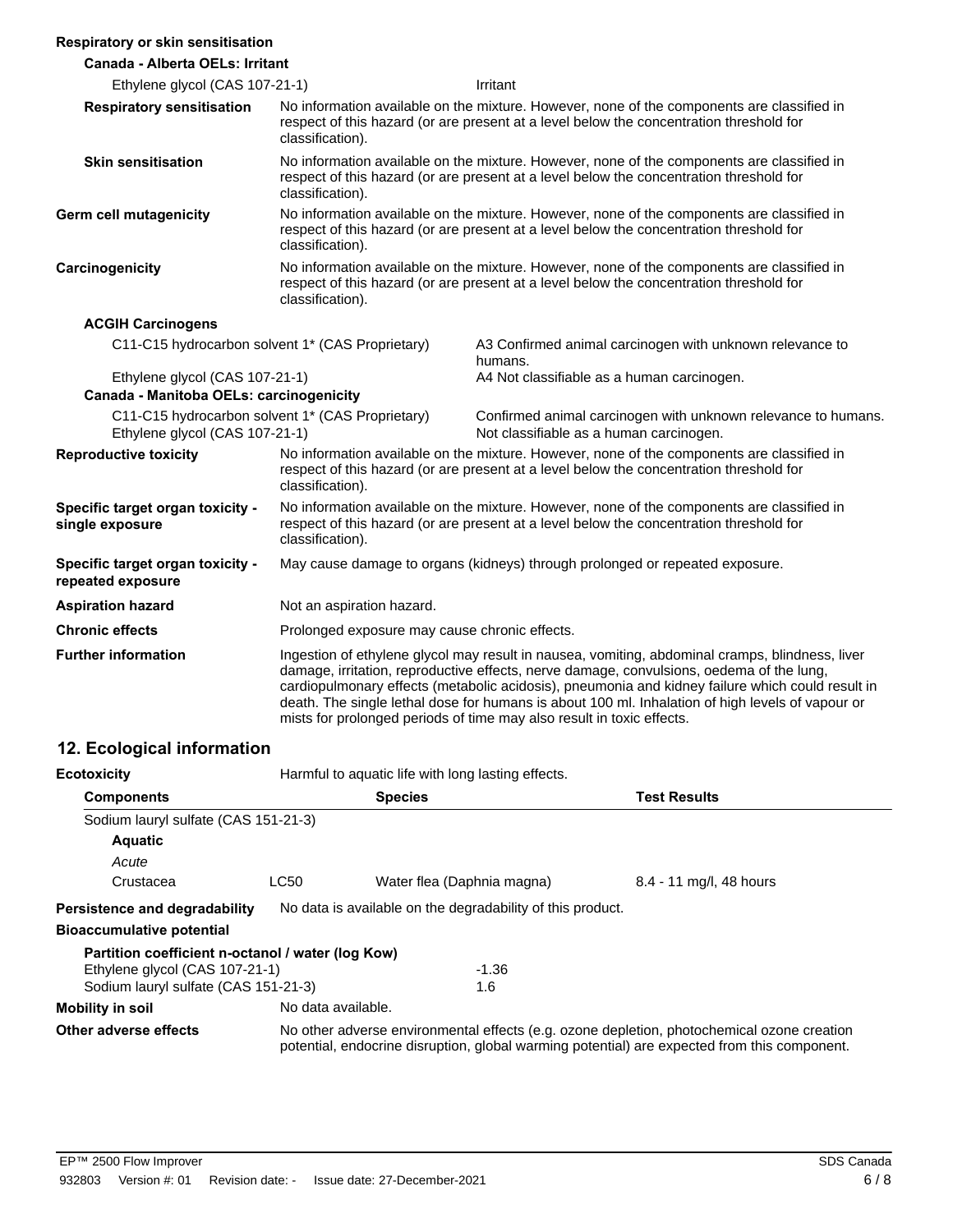#### **Respiratory or skin sensitisation**

| <b>Canada - Alberta OELs: Irritant</b>                |                                                                                                                                                                                                                                                                                                                                                                                                                                                                              |                                                                                                          |
|-------------------------------------------------------|------------------------------------------------------------------------------------------------------------------------------------------------------------------------------------------------------------------------------------------------------------------------------------------------------------------------------------------------------------------------------------------------------------------------------------------------------------------------------|----------------------------------------------------------------------------------------------------------|
| Ethylene glycol (CAS 107-21-1)                        |                                                                                                                                                                                                                                                                                                                                                                                                                                                                              | Irritant                                                                                                 |
| <b>Respiratory sensitisation</b>                      | No information available on the mixture. However, none of the components are classified in<br>respect of this hazard (or are present at a level below the concentration threshold for<br>classification).                                                                                                                                                                                                                                                                    |                                                                                                          |
| <b>Skin sensitisation</b>                             | No information available on the mixture. However, none of the components are classified in<br>respect of this hazard (or are present at a level below the concentration threshold for<br>classification).                                                                                                                                                                                                                                                                    |                                                                                                          |
| <b>Germ cell mutagenicity</b>                         | No information available on the mixture. However, none of the components are classified in<br>respect of this hazard (or are present at a level below the concentration threshold for<br>classification).                                                                                                                                                                                                                                                                    |                                                                                                          |
| Carcinogenicity                                       | No information available on the mixture. However, none of the components are classified in<br>respect of this hazard (or are present at a level below the concentration threshold for<br>classification).                                                                                                                                                                                                                                                                    |                                                                                                          |
| <b>ACGIH Carcinogens</b>                              |                                                                                                                                                                                                                                                                                                                                                                                                                                                                              |                                                                                                          |
| C11-C15 hydrocarbon solvent 1* (CAS Proprietary)      |                                                                                                                                                                                                                                                                                                                                                                                                                                                                              | A3 Confirmed animal carcinogen with unknown relevance to<br>humans.                                      |
| Ethylene glycol (CAS 107-21-1)                        |                                                                                                                                                                                                                                                                                                                                                                                                                                                                              | A4 Not classifiable as a human carcinogen.                                                               |
| Canada - Manitoba OELs: carcinogenicity               |                                                                                                                                                                                                                                                                                                                                                                                                                                                                              |                                                                                                          |
| Ethylene glycol (CAS 107-21-1)                        | C11-C15 hydrocarbon solvent 1* (CAS Proprietary)                                                                                                                                                                                                                                                                                                                                                                                                                             | Confirmed animal carcinogen with unknown relevance to humans.<br>Not classifiable as a human carcinogen. |
| <b>Reproductive toxicity</b>                          | No information available on the mixture. However, none of the components are classified in<br>respect of this hazard (or are present at a level below the concentration threshold for<br>classification).                                                                                                                                                                                                                                                                    |                                                                                                          |
| Specific target organ toxicity -<br>single exposure   | No information available on the mixture. However, none of the components are classified in<br>respect of this hazard (or are present at a level below the concentration threshold for<br>classification).                                                                                                                                                                                                                                                                    |                                                                                                          |
| Specific target organ toxicity -<br>repeated exposure | May cause damage to organs (kidneys) through prolonged or repeated exposure.                                                                                                                                                                                                                                                                                                                                                                                                 |                                                                                                          |
| <b>Aspiration hazard</b>                              | Not an aspiration hazard.                                                                                                                                                                                                                                                                                                                                                                                                                                                    |                                                                                                          |
| <b>Chronic effects</b>                                | Prolonged exposure may cause chronic effects.                                                                                                                                                                                                                                                                                                                                                                                                                                |                                                                                                          |
| <b>Further information</b>                            | Ingestion of ethylene glycol may result in nausea, vomiting, abdominal cramps, blindness, liver<br>damage, irritation, reproductive effects, nerve damage, convulsions, oedema of the lung,<br>cardiopulmonary effects (metabolic acidosis), pneumonia and kidney failure which could result in<br>death. The single lethal dose for humans is about 100 ml. Inhalation of high levels of vapour or<br>mists for prolonged periods of time may also result in toxic effects. |                                                                                                          |

# **12. Ecological information**

| <b>Ecotoxicity</b>                                | Harmful to aquatic life with long lasting effects. |                                                            |                                                                                                                                                                                            |
|---------------------------------------------------|----------------------------------------------------|------------------------------------------------------------|--------------------------------------------------------------------------------------------------------------------------------------------------------------------------------------------|
| <b>Components</b>                                 |                                                    | <b>Species</b>                                             | <b>Test Results</b>                                                                                                                                                                        |
| Sodium lauryl sulfate (CAS 151-21-3)              |                                                    |                                                            |                                                                                                                                                                                            |
| <b>Aquatic</b>                                    |                                                    |                                                            |                                                                                                                                                                                            |
| Acute                                             |                                                    |                                                            |                                                                                                                                                                                            |
| Crustacea                                         | <b>LC50</b>                                        | Water flea (Daphnia magna)                                 | 8.4 - 11 mg/l, 48 hours                                                                                                                                                                    |
| Persistence and degradability                     |                                                    | No data is available on the degradability of this product. |                                                                                                                                                                                            |
| <b>Bioaccumulative potential</b>                  |                                                    |                                                            |                                                                                                                                                                                            |
| Partition coefficient n-octanol / water (log Kow) |                                                    |                                                            |                                                                                                                                                                                            |
| Ethylene glycol (CAS 107-21-1)                    |                                                    | $-1.36$                                                    |                                                                                                                                                                                            |
| Sodium lauryl sulfate (CAS 151-21-3)              |                                                    | 1.6                                                        |                                                                                                                                                                                            |
| <b>Mobility in soil</b>                           | No data available.                                 |                                                            |                                                                                                                                                                                            |
| Other adverse effects                             |                                                    |                                                            | No other adverse environmental effects (e.g. ozone depletion, photochemical ozone creation<br>potential, endocrine disruption, global warming potential) are expected from this component. |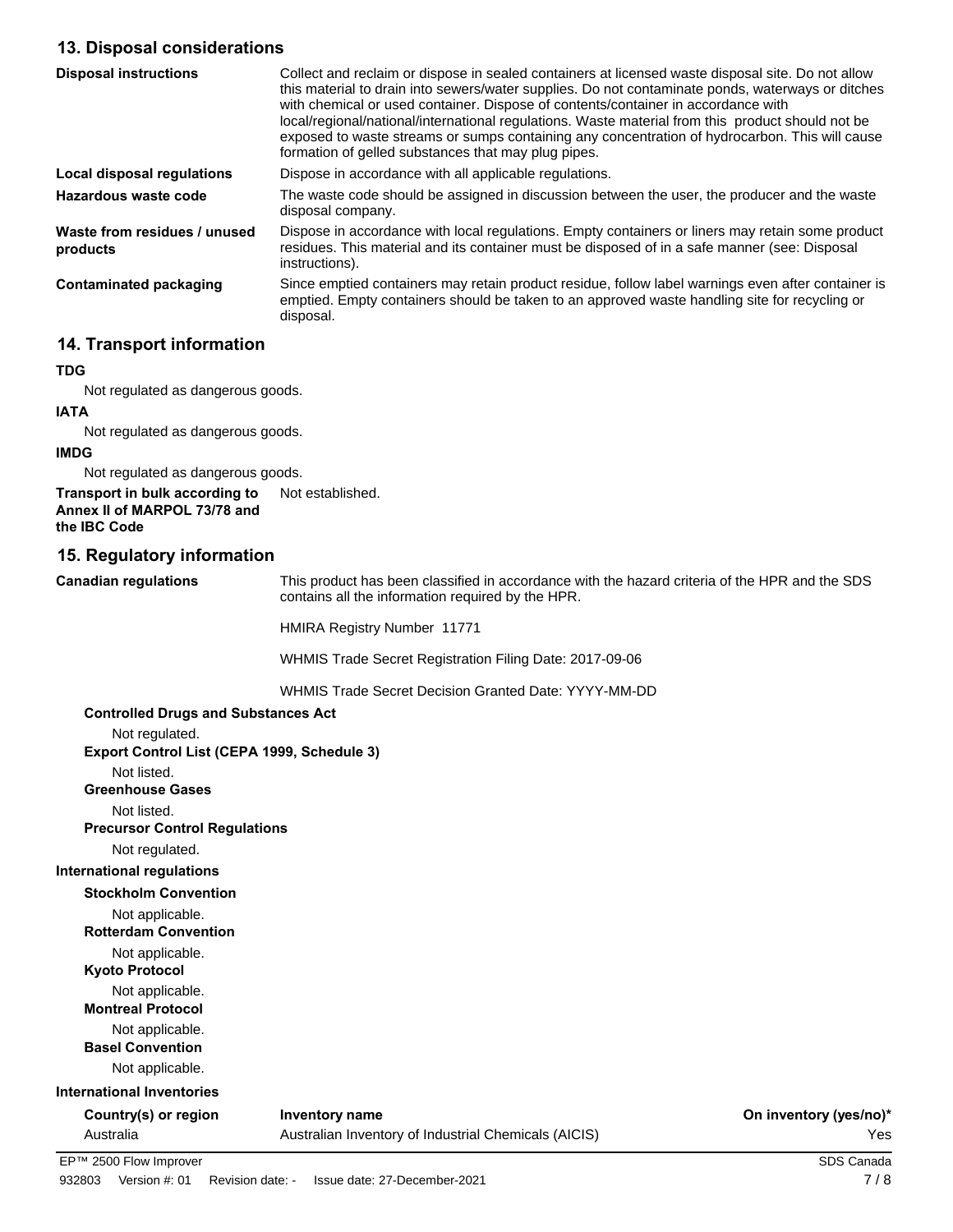## **13. Disposal considerations**

| <b>Disposal instructions</b>             | Collect and reclaim or dispose in sealed containers at licensed waste disposal site. Do not allow<br>this material to drain into sewers/water supplies. Do not contaminate ponds, waterways or ditches<br>with chemical or used container. Dispose of contents/container in accordance with<br>local/regional/national/international regulations. Waste material from this product should not be<br>exposed to waste streams or sumps containing any concentration of hydrocarbon. This will cause<br>formation of gelled substances that may plug pipes. |
|------------------------------------------|-----------------------------------------------------------------------------------------------------------------------------------------------------------------------------------------------------------------------------------------------------------------------------------------------------------------------------------------------------------------------------------------------------------------------------------------------------------------------------------------------------------------------------------------------------------|
| Local disposal regulations               | Dispose in accordance with all applicable regulations.                                                                                                                                                                                                                                                                                                                                                                                                                                                                                                    |
| Hazardous waste code                     | The waste code should be assigned in discussion between the user, the producer and the waste<br>disposal company.                                                                                                                                                                                                                                                                                                                                                                                                                                         |
| Waste from residues / unused<br>products | Dispose in accordance with local regulations. Empty containers or liners may retain some product<br>residues. This material and its container must be disposed of in a safe manner (see: Disposal<br>instructions).                                                                                                                                                                                                                                                                                                                                       |
| Contaminated packaging                   | Since emptied containers may retain product residue, follow label warnings even after container is<br>emptied. Empty containers should be taken to an approved waste handling site for recycling or<br>disposal.                                                                                                                                                                                                                                                                                                                                          |

## **14. Transport information**

### **TDG**

Not regulated as dangerous goods.

# **IATA**

Not regulated as dangerous goods.

# **IMDG**

Not regulated as dangerous goods.

**Transport in bulk according to** Not established. **Annex II of MARPOL 73/78 and the IBC Code**

## **15. Regulatory information**

**Canadian regulations**

This product has been classified in accordance with the hazard criteria of the HPR and the SDS contains all the information required by the HPR.

HMIRA Registry Number 11771

WHMIS Trade Secret Registration Filing Date: 2017-09-06

WHMIS Trade Secret Decision Granted Date: YYYY-MM-DD

## **Controlled Drugs and Substances Act**

Not regulated. **Export Control List (CEPA 1999, Schedule 3)** Not listed. **Greenhouse Gases** Not listed. **Precursor Control Regulations** Not regulated. **International regulations Stockholm Convention** Not applicable. **Rotterdam Convention** Not applicable. **Kyoto Protocol** Not applicable. **Montreal Protocol** Not applicable. **Basel Convention** Not applicable. **International Inventories** Country(s) or region Inventory name **Country in the Country of Country (yes/no**)<sup>\*</sup>

Australia Australian Inventory of Industrial Chemicals (AICIS) Yes